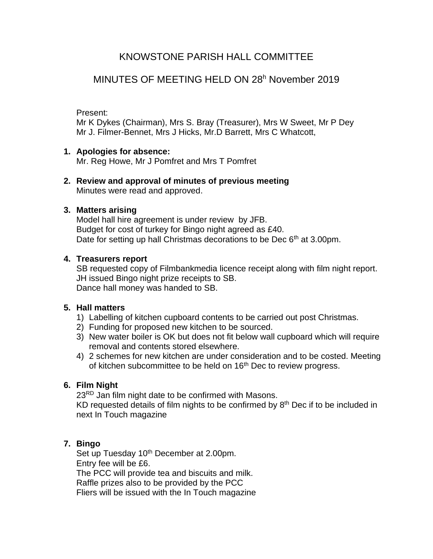# KNOWSTONE PARISH HALL COMMITTEE

# MINUTES OF MEETING HELD ON 28<sup>h</sup> November 2019

### Present:

Mr K Dykes (Chairman), Mrs S. Bray (Treasurer), Mrs W Sweet, Mr P Dey Mr J. Filmer-Bennet, Mrs J Hicks, Mr.D Barrett, Mrs C Whatcott,

### **1. Apologies for absence:**

Mr. Reg Howe, Mr J Pomfret and Mrs T Pomfret

#### **2. Review and approval of minutes of previous meeting** Minutes were read and approved.

### **3. Matters arising**

Model hall hire agreement is under review by JFB. Budget for cost of turkey for Bingo night agreed as £40. Date for setting up hall Christmas decorations to be Dec  $6<sup>th</sup>$  at 3.00pm.

### **4. Treasurers report**

SB requested copy of Filmbankmedia licence receipt along with film night report. JH issued Bingo night prize receipts to SB. Dance hall money was handed to SB.

# **5. Hall matters**

- 1) Labelling of kitchen cupboard contents to be carried out post Christmas.
- 2) Funding for proposed new kitchen to be sourced.
- 3) New water boiler is OK but does not fit below wall cupboard which will require removal and contents stored elsewhere.
- 4) 2 schemes for new kitchen are under consideration and to be costed. Meeting of kitchen subcommittee to be held on 16<sup>th</sup> Dec to review progress.

# **6. Film Night**

23<sup>RD</sup> Jan film night date to be confirmed with Masons.

KD requested details of film nights to be confirmed by  $8<sup>th</sup>$  Dec if to be included in next In Touch magazine

# **7. Bingo**

Set up Tuesday 10<sup>th</sup> December at 2.00pm. Entry fee will be £6. The PCC will provide tea and biscuits and milk. Raffle prizes also to be provided by the PCC Fliers will be issued with the In Touch magazine